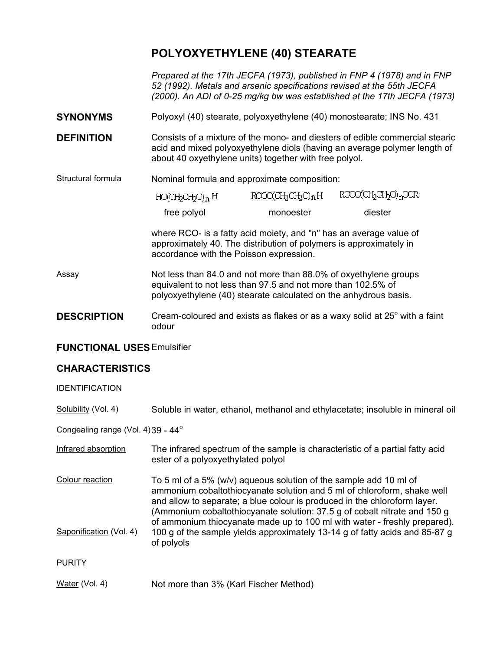## **POLYOXYETHYLENE (40) STEARATE**

*Prepared at the 17th JECFA (1973), published in FNP 4 (1978) and in FNP 52 (1992). Metals and arsenic specifications revised at the 55th JECFA (2000). An ADI of 0-25 mg/kg bw was established at the 17th JECFA (1973)* 

- **SYNONYMS** Polyoxyl (40) stearate, polyoxyethylene (40) monostearate; INS No. 431
- **DEFINITION** Consists of a mixture of the mono- and diesters of edible commercial stearic acid and mixed polyoxyethylene diols (having an average polymer length of about 40 oxyethylene units) together with free polyol.

## Structural formula Nominal formula and approximate composition:

| HO(CH2CH2O)n H | RCOO(CH2CH2O)nH | ROOO(CH2CH2O) <sub>n</sub> OCR |
|----------------|-----------------|--------------------------------|
| free polyol    | monoester       | diester                        |

where RCO- is a fatty acid moiety, and "n" has an average value of approximately 40. The distribution of polymers is approximately in accordance with the Poisson expression.

- Assay Not less than 84.0 and not more than 88.0% of oxyethylene groups equivalent to not less than 97.5 and not more than 102.5% of polyoxyethylene (40) stearate calculated on the anhydrous basis.
- **DESCRIPTION** Cream-coloured and exists as flakes or as a waxy solid at 25<sup>°</sup> with a faint odour

## **FUNCTIONAL USES**Emulsifier

## **CHARACTERISTICS**

IDENTIFICATION

Solubility (Vol. 4) Soluble in water, ethanol, methanol and ethylacetate; insoluble in mineral oil

Congealing range (Vol. 4) 39 - 44<sup>°</sup>

| Infrared absorption | The infrared spectrum of the sample is characteristic of a partial fatty acid |
|---------------------|-------------------------------------------------------------------------------|
|                     | ester of a polyoxyethylated polyol                                            |
|                     |                                                                               |

Colour reaction To 5 ml of a 5% (w/v) aqueous solution of the sample add 10 ml of ammonium cobaltothiocyanate solution and 5 ml of chloroform, shake well and allow to separate; a blue colour is produced in the chloroform layer. (Ammonium cobaltothiocyanate solution: 37.5 g of cobalt nitrate and 150 g of ammonium thiocyanate made up to 100 ml with water - freshly prepared). Saponification (Vol. 4) 100 g of the sample yields approximately 13-14 g of fatty acids and 85-87 g of polyols

PURITY

Water (Vol. 4) Not more than 3% (Karl Fischer Method)